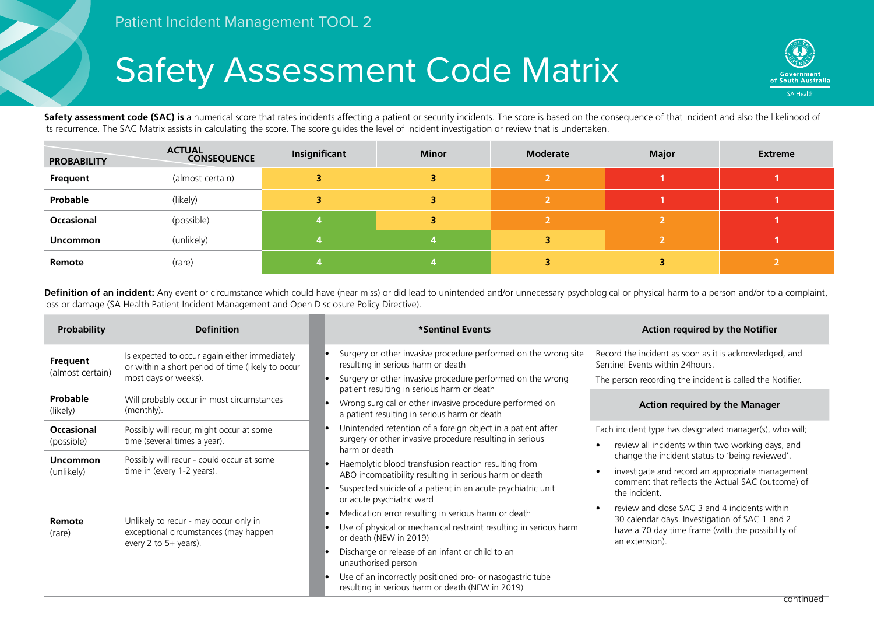## Safety Assessment Code Matrix



Safety assessment code (SAC) is a numerical score that rates incidents affecting a patient or security incidents. The score is based on the consequence of that incident and also the likelihood of its recurrence. The SAC Matrix assists in calculating the score. The score guides the level of incident investigation or review that is undertaken.

| <b>PROBABILITY</b> | <b>ACTUAL</b><br><b>CONSEQUENCE</b> | Insignificant | <b>Minor</b> | <b>Moderate</b> | <b>Major</b> | <b>Extreme</b> |
|--------------------|-------------------------------------|---------------|--------------|-----------------|--------------|----------------|
| Frequent           | (almost certain)                    |               |              |                 |              |                |
| Probable           | (likely)                            |               |              |                 |              |                |
| Occasional         | (possible)                          |               |              |                 |              |                |
| <b>Uncommon</b>    | (unlikely)                          |               |              |                 |              |                |
| Remote             | (rare)                              |               |              |                 |              |                |

Definition of an incident: Any event or circumstance which could have (near miss) or did lead to unintended and/or unnecessary psychological or physical harm to a person and/or to a complaint, loss or damage (SA Health Patient Incident Management and Open Disclosure Policy Directive).

| <b>Probability</b>              | <b>Definition</b>                                                                                                          | *Sentinel Events                                                                                                                                                                                                                                                                           | <b>Action required by the Notifier</b>                                                                                                                                    |  |  |
|---------------------------------|----------------------------------------------------------------------------------------------------------------------------|--------------------------------------------------------------------------------------------------------------------------------------------------------------------------------------------------------------------------------------------------------------------------------------------|---------------------------------------------------------------------------------------------------------------------------------------------------------------------------|--|--|
| Frequent<br>(almost certain)    | Is expected to occur again either immediately<br>or within a short period of time (likely to occur<br>most days or weeks). | Surgery or other invasive procedure performed on the wrong site<br>resulting in serious harm or death<br>Surgery or other invasive procedure performed on the wrong                                                                                                                        | Record the incident as soon as it is acknowledged, and<br>Sentinel Events within 24 hours.<br>The person recording the incident is called the Notifier.                   |  |  |
| Probable<br>(likely)            | Will probably occur in most circumstances<br>(monthly).                                                                    | patient resulting in serious harm or death<br>Wrong surgical or other invasive procedure performed on<br>a patient resulting in serious harm or death                                                                                                                                      | <b>Action required by the Manager</b>                                                                                                                                     |  |  |
| <b>Occasional</b><br>(possible) | Possibly will recur, might occur at some<br>time (several times a year).                                                   | Unintended retention of a foreign object in a patient after<br>surgery or other invasive procedure resulting in serious<br>harm or death                                                                                                                                                   | Each incident type has designated manager(s), who will;<br>review all incidents within two working days, and                                                              |  |  |
| <b>Uncommon</b><br>(unlikely)   | Possibly will recur - could occur at some<br>time in (every 1-2 years).                                                    | Haemolytic blood transfusion reaction resulting from<br>ABO incompatibility resulting in serious harm or death<br>Suspected suicide of a patient in an acute psychiatric unit<br>or acute psychiatric ward                                                                                 | change the incident status to 'being reviewed'.<br>investigate and record an appropriate management<br>comment that reflects the Actual SAC (outcome) of<br>the incident. |  |  |
| Remote<br>(rare)                | Unlikely to recur - may occur only in<br>exceptional circumstances (may happen<br>every 2 to $5+$ years).                  | Medication error resulting in serious harm or death<br>Use of physical or mechanical restraint resulting in serious harm<br>or death (NEW in 2019)<br>Discharge or release of an infant or child to an<br>unauthorised person<br>Use of an incorrectly positioned oro- or nasogastric tube | review and close SAC 3 and 4 incidents within<br>30 calendar days. Investigation of SAC 1 and 2<br>have a 70 day time frame (with the possibility of<br>an extension).    |  |  |
|                                 |                                                                                                                            | resulting in serious harm or death (NEW in 2019)                                                                                                                                                                                                                                           |                                                                                                                                                                           |  |  |